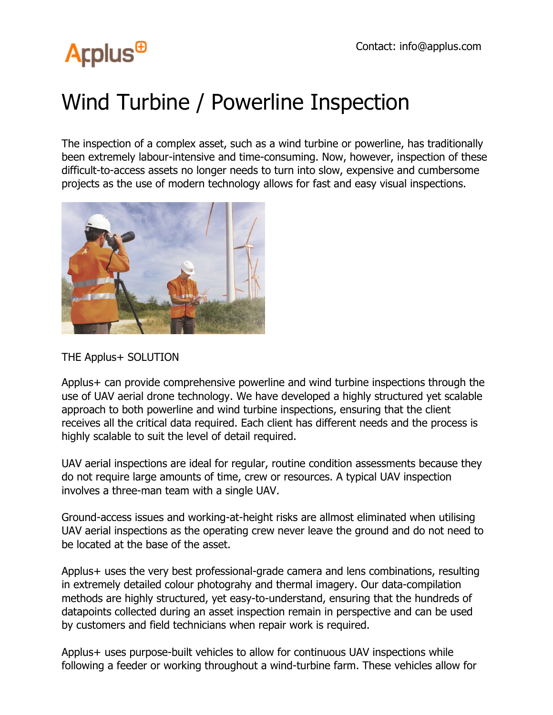# **Arplus<sup>®</sup>**

## Wind Turbine / Powerline Inspection

The inspection of a complex asset, such as a wind turbine or powerline, has traditionally been extremely labour-intensive and time-consuming. Now, however, inspection of these difficult-to-access assets no longer needs to turn into slow, expensive and cumbersome projects as the use of modern technology allows for fast and easy visual inspections.



#### THE Applus+ SOLUTION

Applus+ can provide comprehensive powerline and wind turbine inspections through the use of UAV aerial drone technology. We have developed a highly structured yet scalable approach to both powerline and wind turbine inspections, ensuring that the client receives all the critical data required. Each client has different needs and the process is highly scalable to suit the level of detail required.

UAV aerial inspections are ideal for regular, routine condition assessments because they do not require large amounts of time, crew or resources. A typical UAV inspection involves a three-man team with a single UAV.

Ground-access issues and working-at-height risks are allmost eliminated when utilising UAV aerial inspections as the operating crew never leave the ground and do not need to be located at the base of the asset.

Applus+ uses the very best professional-grade camera and lens combinations, resulting in extremely detailed colour photograhy and thermal imagery. Our data-compilation methods are highly structured, yet easy-to-understand, ensuring that the hundreds of datapoints collected during an asset inspection remain in perspective and can be used by customers and field technicians when repair work is required.

Applus+ uses purpose-built vehicles to allow for continuous UAV inspections while following a feeder or working throughout a wind-turbine farm. These vehicles allow for